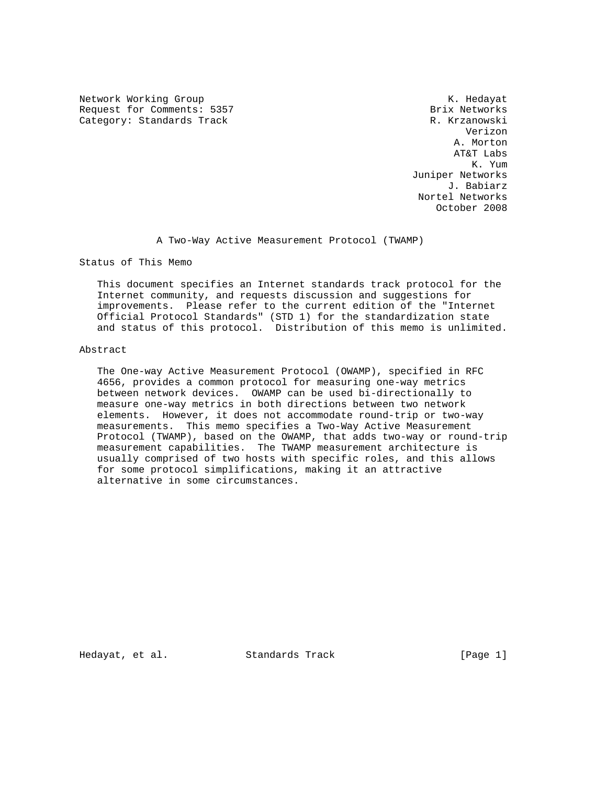Network Working Group Network Working Group Network Alexander Manual Association Association Association Association Association Association Association Association Association Association Association Association Associati Request for Comments: 5357 Brix Networks Category: Standards Track R. Krzanowski

 Verizon A. Morton AT&T Labs K. Yum Juniper Networks J. Babiarz Nortel Networks October 2008

A Two-Way Active Measurement Protocol (TWAMP)

Status of This Memo

 This document specifies an Internet standards track protocol for the Internet community, and requests discussion and suggestions for improvements. Please refer to the current edition of the "Internet Official Protocol Standards" (STD 1) for the standardization state and status of this protocol. Distribution of this memo is unlimited.

### Abstract

 The One-way Active Measurement Protocol (OWAMP), specified in RFC 4656, provides a common protocol for measuring one-way metrics between network devices. OWAMP can be used bi-directionally to measure one-way metrics in both directions between two network elements. However, it does not accommodate round-trip or two-way measurements. This memo specifies a Two-Way Active Measurement Protocol (TWAMP), based on the OWAMP, that adds two-way or round-trip measurement capabilities. The TWAMP measurement architecture is usually comprised of two hosts with specific roles, and this allows for some protocol simplifications, making it an attractive alternative in some circumstances.

Hedayat, et al. Standards Track [Page 1]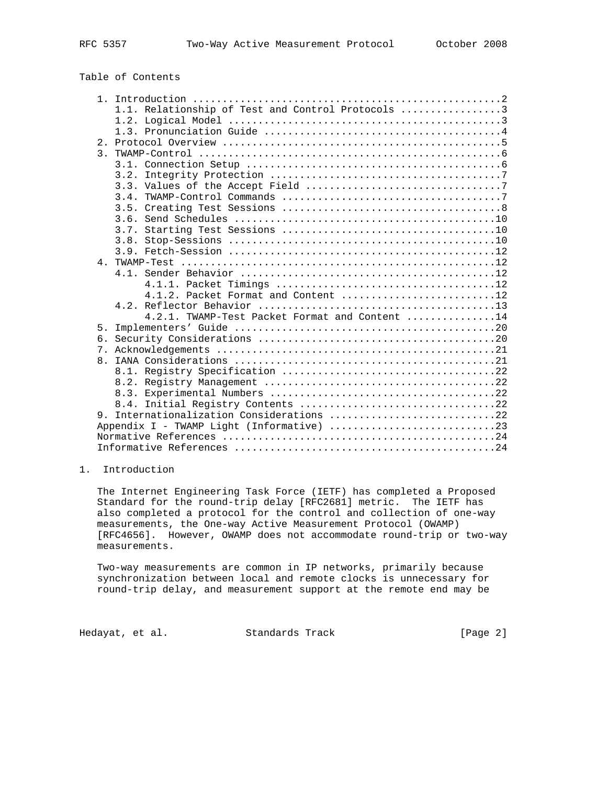# Table of Contents

| 1.1. Relationship of Test and Control Protocols 3 |  |
|---------------------------------------------------|--|
|                                                   |  |
|                                                   |  |
|                                                   |  |
| $\overline{3}$ .                                  |  |
|                                                   |  |
|                                                   |  |
|                                                   |  |
| 3.4.                                              |  |
|                                                   |  |
|                                                   |  |
| 3.7.                                              |  |
|                                                   |  |
|                                                   |  |
|                                                   |  |
|                                                   |  |
|                                                   |  |
| 4.1.2. Packet Format and Content 12               |  |
|                                                   |  |
| $4.2.1$ . TWAMP-Test Packet Format and Content 14 |  |
| 5 <sub>1</sub>                                    |  |
| რ.                                                |  |
|                                                   |  |
| $\mathsf{R}$                                      |  |
|                                                   |  |
|                                                   |  |
|                                                   |  |
|                                                   |  |
| 9. Internationalization Considerations 22         |  |
|                                                   |  |
|                                                   |  |
|                                                   |  |

# 1. Introduction

 The Internet Engineering Task Force (IETF) has completed a Proposed Standard for the round-trip delay [RFC2681] metric. The IETF has also completed a protocol for the control and collection of one-way measurements, the One-way Active Measurement Protocol (OWAMP) [RFC4656]. However, OWAMP does not accommodate round-trip or two-way measurements.

 Two-way measurements are common in IP networks, primarily because synchronization between local and remote clocks is unnecessary for round-trip delay, and measurement support at the remote end may be

Hedayat, et al. Standards Track [Page 2]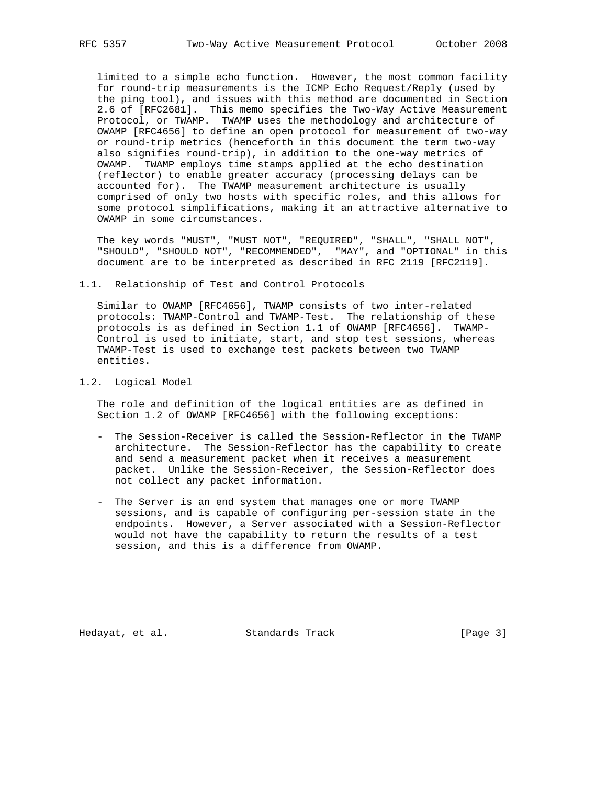limited to a simple echo function. However, the most common facility for round-trip measurements is the ICMP Echo Request/Reply (used by the ping tool), and issues with this method are documented in Section 2.6 of [RFC2681]. This memo specifies the Two-Way Active Measurement Protocol, or TWAMP. TWAMP uses the methodology and architecture of OWAMP [RFC4656] to define an open protocol for measurement of two-way or round-trip metrics (henceforth in this document the term two-way also signifies round-trip), in addition to the one-way metrics of OWAMP. TWAMP employs time stamps applied at the echo destination (reflector) to enable greater accuracy (processing delays can be accounted for). The TWAMP measurement architecture is usually comprised of only two hosts with specific roles, and this allows for some protocol simplifications, making it an attractive alternative to OWAMP in some circumstances.

 The key words "MUST", "MUST NOT", "REQUIRED", "SHALL", "SHALL NOT", "SHOULD", "SHOULD NOT", "RECOMMENDED", "MAY", and "OPTIONAL" in this document are to be interpreted as described in RFC 2119 [RFC2119].

1.1. Relationship of Test and Control Protocols

 Similar to OWAMP [RFC4656], TWAMP consists of two inter-related protocols: TWAMP-Control and TWAMP-Test. The relationship of these protocols is as defined in Section 1.1 of OWAMP [RFC4656]. TWAMP- Control is used to initiate, start, and stop test sessions, whereas TWAMP-Test is used to exchange test packets between two TWAMP entities.

1.2. Logical Model

 The role and definition of the logical entities are as defined in Section 1.2 of OWAMP [RFC4656] with the following exceptions:

- The Session-Receiver is called the Session-Reflector in the TWAMP architecture. The Session-Reflector has the capability to create and send a measurement packet when it receives a measurement packet. Unlike the Session-Receiver, the Session-Reflector does not collect any packet information.
- The Server is an end system that manages one or more TWAMP sessions, and is capable of configuring per-session state in the endpoints. However, a Server associated with a Session-Reflector would not have the capability to return the results of a test session, and this is a difference from OWAMP.

Hedayat, et al. Standards Track [Page 3]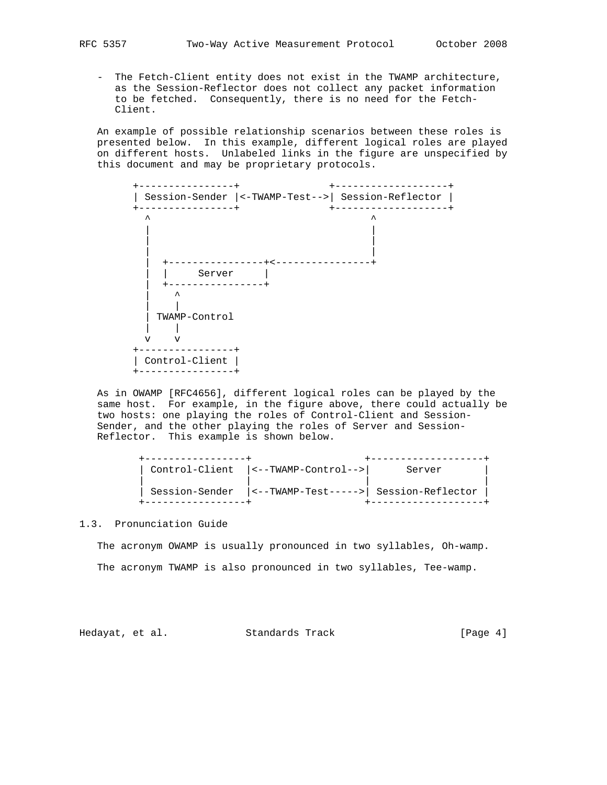- The Fetch-Client entity does not exist in the TWAMP architecture, as the Session-Reflector does not collect any packet information to be fetched. Consequently, there is no need for the Fetch- Client.

 An example of possible relationship scenarios between these roles is presented below. In this example, different logical roles are played on different hosts. Unlabeled links in the figure are unspecified by this document and may be proprietary protocols.



 As in OWAMP [RFC4656], different logical roles can be played by the same host. For example, in the figure above, there could actually be two hosts: one playing the roles of Control-Client and Session- Sender, and the other playing the roles of Server and Session- Reflector. This example is shown below.

| ---------------- | Server |
|------------------|--------|
|                  |        |

### 1.3. Pronunciation Guide

 The acronym OWAMP is usually pronounced in two syllables, Oh-wamp. The acronym TWAMP is also pronounced in two syllables, Tee-wamp.

Hedayat, et al. Standards Track [Page 4]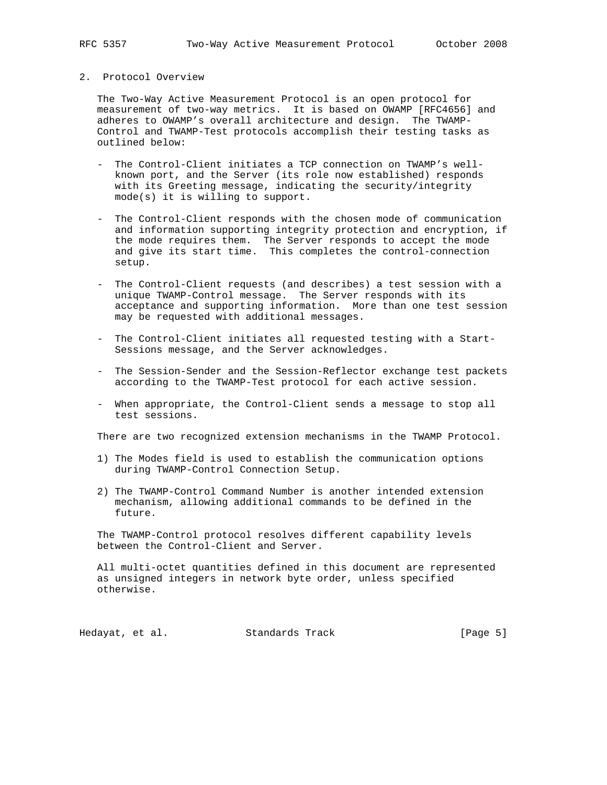# 2. Protocol Overview

 The Two-Way Active Measurement Protocol is an open protocol for measurement of two-way metrics. It is based on OWAMP [RFC4656] and adheres to OWAMP's overall architecture and design. The TWAMP- Control and TWAMP-Test protocols accomplish their testing tasks as outlined below:

- The Control-Client initiates a TCP connection on TWAMP's well known port, and the Server (its role now established) responds with its Greeting message, indicating the security/integrity mode(s) it is willing to support.
- The Control-Client responds with the chosen mode of communication and information supporting integrity protection and encryption, if the mode requires them. The Server responds to accept the mode and give its start time. This completes the control-connection setup.
	- The Control-Client requests (and describes) a test session with a unique TWAMP-Control message. The Server responds with its acceptance and supporting information. More than one test session may be requested with additional messages.
	- The Control-Client initiates all requested testing with a Start- Sessions message, and the Server acknowledges.
	- The Session-Sender and the Session-Reflector exchange test packets according to the TWAMP-Test protocol for each active session.
	- When appropriate, the Control-Client sends a message to stop all test sessions.

There are two recognized extension mechanisms in the TWAMP Protocol.

- 1) The Modes field is used to establish the communication options during TWAMP-Control Connection Setup.
- 2) The TWAMP-Control Command Number is another intended extension mechanism, allowing additional commands to be defined in the future.

 The TWAMP-Control protocol resolves different capability levels between the Control-Client and Server.

 All multi-octet quantities defined in this document are represented as unsigned integers in network byte order, unless specified otherwise.

Hedayat, et al. Standards Track [Page 5]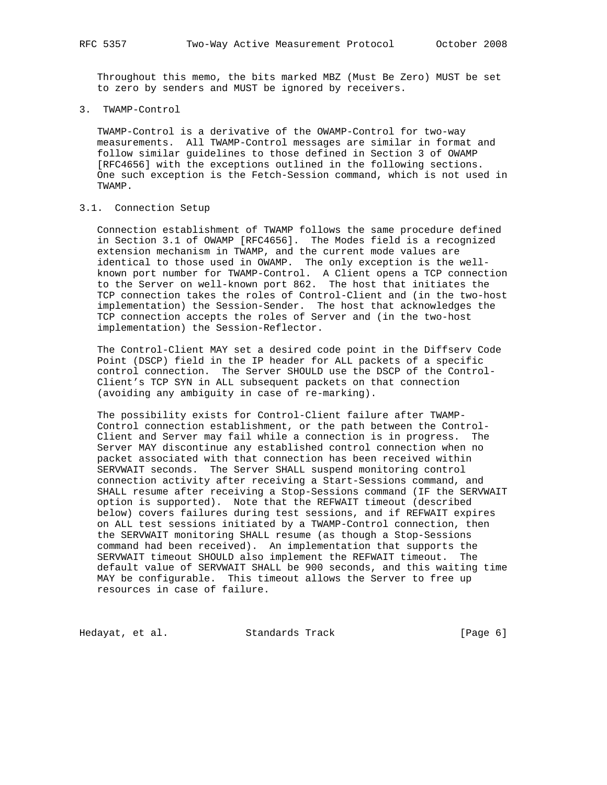Throughout this memo, the bits marked MBZ (Must Be Zero) MUST be set to zero by senders and MUST be ignored by receivers.

3. TWAMP-Control

 TWAMP-Control is a derivative of the OWAMP-Control for two-way measurements. All TWAMP-Control messages are similar in format and follow similar guidelines to those defined in Section 3 of OWAMP [RFC4656] with the exceptions outlined in the following sections. One such exception is the Fetch-Session command, which is not used in TWAMP.

# 3.1. Connection Setup

 Connection establishment of TWAMP follows the same procedure defined in Section 3.1 of OWAMP [RFC4656]. The Modes field is a recognized extension mechanism in TWAMP, and the current mode values are identical to those used in OWAMP. The only exception is the well known port number for TWAMP-Control. A Client opens a TCP connection to the Server on well-known port 862. The host that initiates the TCP connection takes the roles of Control-Client and (in the two-host implementation) the Session-Sender. The host that acknowledges the TCP connection accepts the roles of Server and (in the two-host implementation) the Session-Reflector.

 The Control-Client MAY set a desired code point in the Diffserv Code Point (DSCP) field in the IP header for ALL packets of a specific control connection. The Server SHOULD use the DSCP of the Control- Client's TCP SYN in ALL subsequent packets on that connection (avoiding any ambiguity in case of re-marking).

 The possibility exists for Control-Client failure after TWAMP- Control connection establishment, or the path between the Control- Client and Server may fail while a connection is in progress. The Server MAY discontinue any established control connection when no packet associated with that connection has been received within SERVWAIT seconds. The Server SHALL suspend monitoring control connection activity after receiving a Start-Sessions command, and SHALL resume after receiving a Stop-Sessions command (IF the SERVWAIT option is supported). Note that the REFWAIT timeout (described below) covers failures during test sessions, and if REFWAIT expires on ALL test sessions initiated by a TWAMP-Control connection, then the SERVWAIT monitoring SHALL resume (as though a Stop-Sessions command had been received). An implementation that supports the SERVWAIT timeout SHOULD also implement the REFWAIT timeout. The default value of SERVWAIT SHALL be 900 seconds, and this waiting time MAY be configurable. This timeout allows the Server to free up resources in case of failure.

Hedayat, et al. Standards Track [Page 6]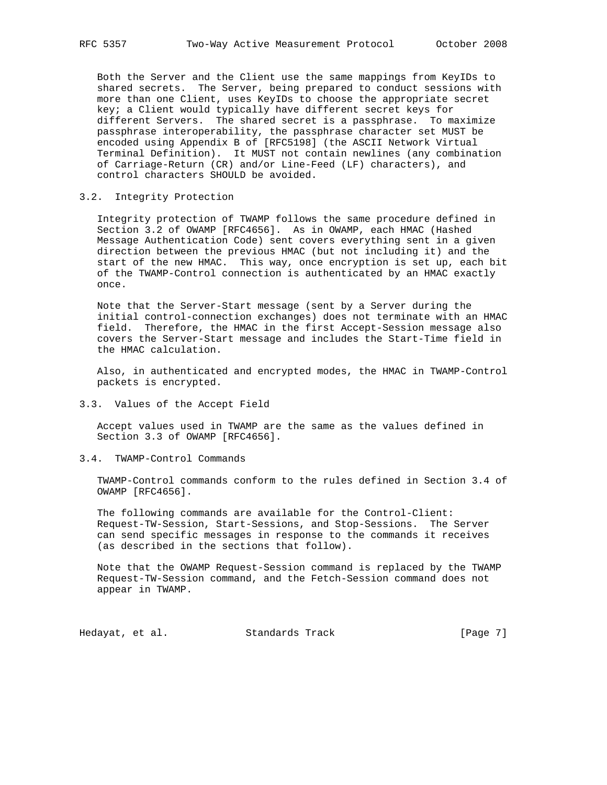Both the Server and the Client use the same mappings from KeyIDs to shared secrets. The Server, being prepared to conduct sessions with more than one Client, uses KeyIDs to choose the appropriate secret key; a Client would typically have different secret keys for different Servers. The shared secret is a passphrase. To maximize passphrase interoperability, the passphrase character set MUST be encoded using Appendix B of [RFC5198] (the ASCII Network Virtual Terminal Definition). It MUST not contain newlines (any combination of Carriage-Return (CR) and/or Line-Feed (LF) characters), and control characters SHOULD be avoided.

### 3.2. Integrity Protection

 Integrity protection of TWAMP follows the same procedure defined in Section 3.2 of OWAMP [RFC4656]. As in OWAMP, each HMAC (Hashed Message Authentication Code) sent covers everything sent in a given direction between the previous HMAC (but not including it) and the start of the new HMAC. This way, once encryption is set up, each bit of the TWAMP-Control connection is authenticated by an HMAC exactly once.

 Note that the Server-Start message (sent by a Server during the initial control-connection exchanges) does not terminate with an HMAC field. Therefore, the HMAC in the first Accept-Session message also covers the Server-Start message and includes the Start-Time field in the HMAC calculation.

 Also, in authenticated and encrypted modes, the HMAC in TWAMP-Control packets is encrypted.

# 3.3. Values of the Accept Field

 Accept values used in TWAMP are the same as the values defined in Section 3.3 of OWAMP [RFC4656].

3.4. TWAMP-Control Commands

 TWAMP-Control commands conform to the rules defined in Section 3.4 of OWAMP [RFC4656].

 The following commands are available for the Control-Client: Request-TW-Session, Start-Sessions, and Stop-Sessions. The Server can send specific messages in response to the commands it receives (as described in the sections that follow).

 Note that the OWAMP Request-Session command is replaced by the TWAMP Request-TW-Session command, and the Fetch-Session command does not appear in TWAMP.

Hedayat, et al. Standards Track [Page 7]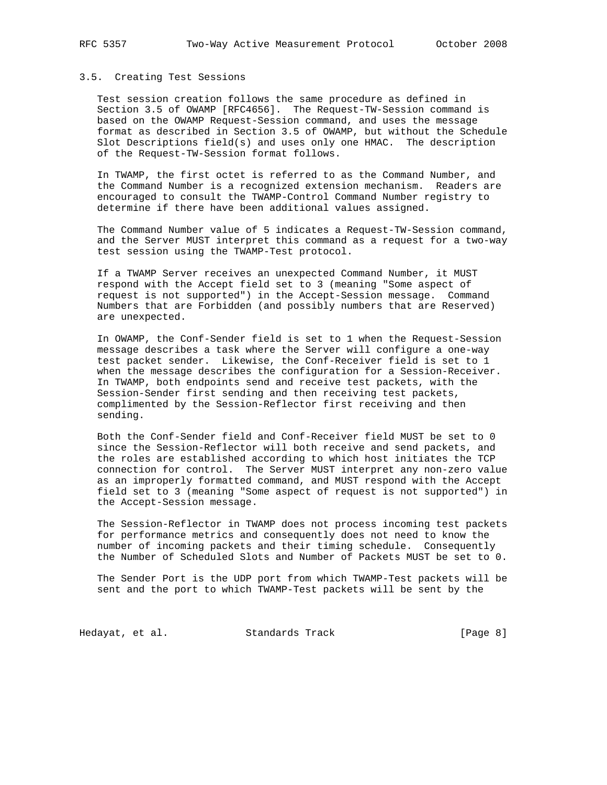#### 3.5. Creating Test Sessions

 Test session creation follows the same procedure as defined in Section 3.5 of OWAMP [RFC4656]. The Request-TW-Session command is based on the OWAMP Request-Session command, and uses the message format as described in Section 3.5 of OWAMP, but without the Schedule Slot Descriptions field(s) and uses only one HMAC. The description of the Request-TW-Session format follows.

 In TWAMP, the first octet is referred to as the Command Number, and the Command Number is a recognized extension mechanism. Readers are encouraged to consult the TWAMP-Control Command Number registry to determine if there have been additional values assigned.

 The Command Number value of 5 indicates a Request-TW-Session command, and the Server MUST interpret this command as a request for a two-way test session using the TWAMP-Test protocol.

 If a TWAMP Server receives an unexpected Command Number, it MUST respond with the Accept field set to 3 (meaning "Some aspect of request is not supported") in the Accept-Session message. Command Numbers that are Forbidden (and possibly numbers that are Reserved) are unexpected.

 In OWAMP, the Conf-Sender field is set to 1 when the Request-Session message describes a task where the Server will configure a one-way test packet sender. Likewise, the Conf-Receiver field is set to 1 when the message describes the configuration for a Session-Receiver. In TWAMP, both endpoints send and receive test packets, with the Session-Sender first sending and then receiving test packets, complimented by the Session-Reflector first receiving and then sending.

 Both the Conf-Sender field and Conf-Receiver field MUST be set to 0 since the Session-Reflector will both receive and send packets, and the roles are established according to which host initiates the TCP connection for control. The Server MUST interpret any non-zero value as an improperly formatted command, and MUST respond with the Accept field set to 3 (meaning "Some aspect of request is not supported") in the Accept-Session message.

 The Session-Reflector in TWAMP does not process incoming test packets for performance metrics and consequently does not need to know the number of incoming packets and their timing schedule. Consequently the Number of Scheduled Slots and Number of Packets MUST be set to 0.

 The Sender Port is the UDP port from which TWAMP-Test packets will be sent and the port to which TWAMP-Test packets will be sent by the

Hedayat, et al. Standards Track [Page 8]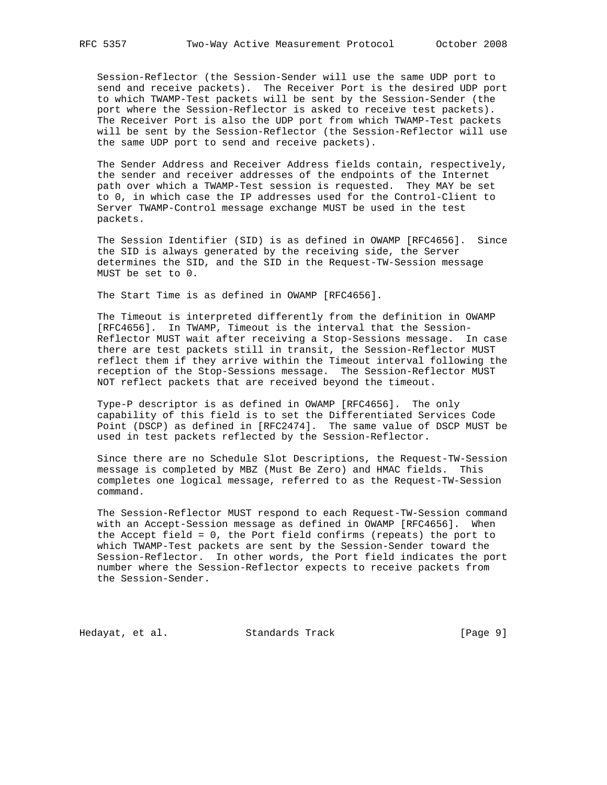Session-Reflector (the Session-Sender will use the same UDP port to send and receive packets). The Receiver Port is the desired UDP port to which TWAMP-Test packets will be sent by the Session-Sender (the port where the Session-Reflector is asked to receive test packets). The Receiver Port is also the UDP port from which TWAMP-Test packets will be sent by the Session-Reflector (the Session-Reflector will use the same UDP port to send and receive packets).

 The Sender Address and Receiver Address fields contain, respectively, the sender and receiver addresses of the endpoints of the Internet path over which a TWAMP-Test session is requested. They MAY be set to 0, in which case the IP addresses used for the Control-Client to Server TWAMP-Control message exchange MUST be used in the test packets.

 The Session Identifier (SID) is as defined in OWAMP [RFC4656]. Since the SID is always generated by the receiving side, the Server determines the SID, and the SID in the Request-TW-Session message MUST be set to 0.

The Start Time is as defined in OWAMP [RFC4656].

 The Timeout is interpreted differently from the definition in OWAMP [RFC4656]. In TWAMP, Timeout is the interval that the Session- Reflector MUST wait after receiving a Stop-Sessions message. In case there are test packets still in transit, the Session-Reflector MUST reflect them if they arrive within the Timeout interval following the reception of the Stop-Sessions message. The Session-Reflector MUST NOT reflect packets that are received beyond the timeout.

 Type-P descriptor is as defined in OWAMP [RFC4656]. The only capability of this field is to set the Differentiated Services Code Point (DSCP) as defined in [RFC2474]. The same value of DSCP MUST be used in test packets reflected by the Session-Reflector.

 Since there are no Schedule Slot Descriptions, the Request-TW-Session message is completed by MBZ (Must Be Zero) and HMAC fields. This completes one logical message, referred to as the Request-TW-Session command.

 The Session-Reflector MUST respond to each Request-TW-Session command with an Accept-Session message as defined in OWAMP [RFC4656]. When the Accept field = 0, the Port field confirms (repeats) the port to which TWAMP-Test packets are sent by the Session-Sender toward the Session-Reflector. In other words, the Port field indicates the port number where the Session-Reflector expects to receive packets from the Session-Sender.

Hedayat, et al. Standards Track [Page 9]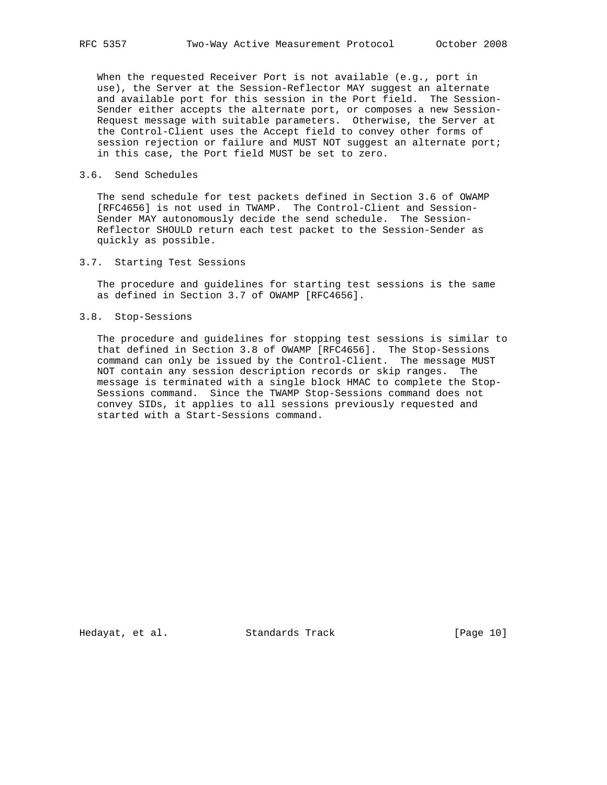When the requested Receiver Port is not available (e.g., port in use), the Server at the Session-Reflector MAY suggest an alternate and available port for this session in the Port field. The Session- Sender either accepts the alternate port, or composes a new Session- Request message with suitable parameters. Otherwise, the Server at the Control-Client uses the Accept field to convey other forms of session rejection or failure and MUST NOT suggest an alternate port; in this case, the Port field MUST be set to zero.

### 3.6. Send Schedules

 The send schedule for test packets defined in Section 3.6 of OWAMP [RFC4656] is not used in TWAMP. The Control-Client and Session- Sender MAY autonomously decide the send schedule. The Session- Reflector SHOULD return each test packet to the Session-Sender as quickly as possible.

3.7. Starting Test Sessions

 The procedure and guidelines for starting test sessions is the same as defined in Section 3.7 of OWAMP [RFC4656].

3.8. Stop-Sessions

 The procedure and guidelines for stopping test sessions is similar to that defined in Section 3.8 of OWAMP [RFC4656]. The Stop-Sessions command can only be issued by the Control-Client. The message MUST NOT contain any session description records or skip ranges. The message is terminated with a single block HMAC to complete the Stop- Sessions command. Since the TWAMP Stop-Sessions command does not convey SIDs, it applies to all sessions previously requested and started with a Start-Sessions command.

Hedayat, et al. Standards Track [Page 10]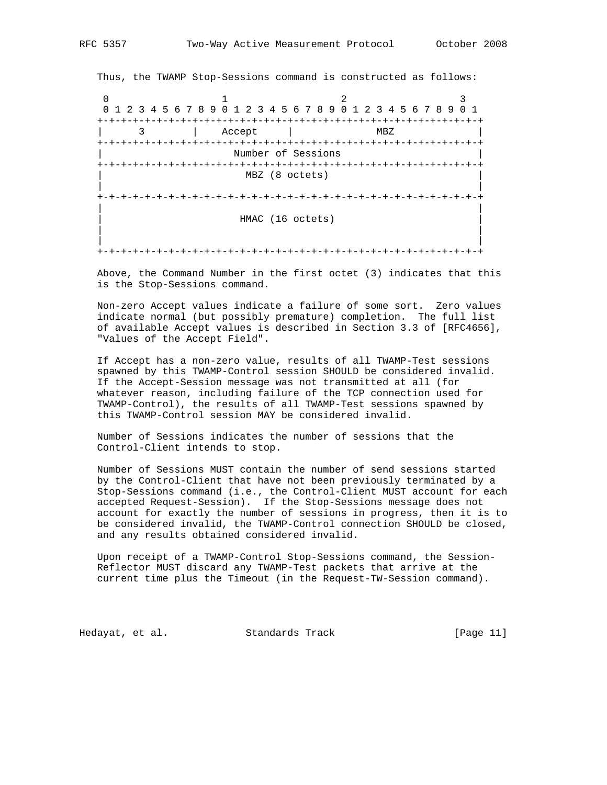Thus, the TWAMP Stop-Sessions command is constructed as follows: 0  $1$  2 3 0 1 2 3 4 5 6 7 8 9 0 1 2 3 4 5 6 7 8 9 0 1 2 3 4 5 6 7 8 9 0 1 +-+-+-+-+-+-+-+-+-+-+-+-+-+-+-+-+-+-+-+-+-+-+-+-+-+-+-+-+-+-+-+-+ | 3 | Accept | MBZ | +-+-+-+-+-+-+-+-+-+-+-+-+-+-+-+-+-+-+-+-+-+-+-+-+-+-+-+-+-+-+-+-+ Number of Sessions +-+-+-+-+-+-+-+-+-+-+-+-+-+-+-+-+-+-+-+-+-+-+-+-+-+-+-+-+-+-+-+-+ MBZ (8 octets) | | +-+-+-+-+-+-+-+-+-+-+-+-+-+-+-+-+-+-+-+-+-+-+-+-+-+-+-+-+-+-+-+-+ | | | HMAC (16 octets) | | | | | +-+-+-+-+-+-+-+-+-+-+-+-+-+-+-+-+-+-+-+-+-+-+-+-+-+-+-+-+-+-+-+-+

 Above, the Command Number in the first octet (3) indicates that this is the Stop-Sessions command.

 Non-zero Accept values indicate a failure of some sort. Zero values indicate normal (but possibly premature) completion. The full list of available Accept values is described in Section 3.3 of [RFC4656], "Values of the Accept Field".

 If Accept has a non-zero value, results of all TWAMP-Test sessions spawned by this TWAMP-Control session SHOULD be considered invalid. If the Accept-Session message was not transmitted at all (for whatever reason, including failure of the TCP connection used for TWAMP-Control), the results of all TWAMP-Test sessions spawned by this TWAMP-Control session MAY be considered invalid.

 Number of Sessions indicates the number of sessions that the Control-Client intends to stop.

 Number of Sessions MUST contain the number of send sessions started by the Control-Client that have not been previously terminated by a Stop-Sessions command (i.e., the Control-Client MUST account for each accepted Request-Session). If the Stop-Sessions message does not account for exactly the number of sessions in progress, then it is to be considered invalid, the TWAMP-Control connection SHOULD be closed, and any results obtained considered invalid.

 Upon receipt of a TWAMP-Control Stop-Sessions command, the Session- Reflector MUST discard any TWAMP-Test packets that arrive at the current time plus the Timeout (in the Request-TW-Session command).

Hedayat, et al. Standards Track [Page 11]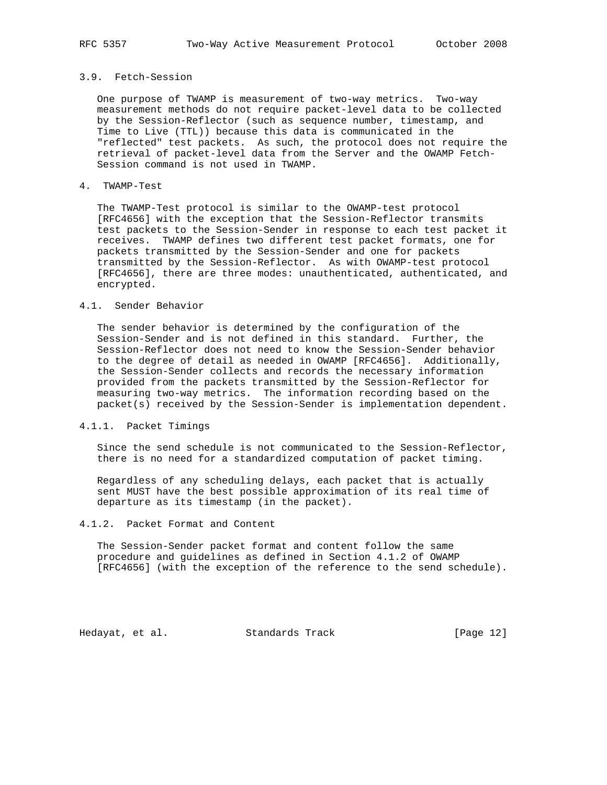# 3.9. Fetch-Session

 One purpose of TWAMP is measurement of two-way metrics. Two-way measurement methods do not require packet-level data to be collected by the Session-Reflector (such as sequence number, timestamp, and Time to Live (TTL)) because this data is communicated in the "reflected" test packets. As such, the protocol does not require the retrieval of packet-level data from the Server and the OWAMP Fetch- Session command is not used in TWAMP.

### 4. TWAMP-Test

 The TWAMP-Test protocol is similar to the OWAMP-test protocol [RFC4656] with the exception that the Session-Reflector transmits test packets to the Session-Sender in response to each test packet it receives. TWAMP defines two different test packet formats, one for packets transmitted by the Session-Sender and one for packets transmitted by the Session-Reflector. As with OWAMP-test protocol [RFC4656], there are three modes: unauthenticated, authenticated, and encrypted.

### 4.1. Sender Behavior

 The sender behavior is determined by the configuration of the Session-Sender and is not defined in this standard. Further, the Session-Reflector does not need to know the Session-Sender behavior to the degree of detail as needed in OWAMP [RFC4656]. Additionally, the Session-Sender collects and records the necessary information provided from the packets transmitted by the Session-Reflector for measuring two-way metrics. The information recording based on the packet(s) received by the Session-Sender is implementation dependent.

# 4.1.1. Packet Timings

 Since the send schedule is not communicated to the Session-Reflector, there is no need for a standardized computation of packet timing.

 Regardless of any scheduling delays, each packet that is actually sent MUST have the best possible approximation of its real time of departure as its timestamp (in the packet).

# 4.1.2. Packet Format and Content

 The Session-Sender packet format and content follow the same procedure and guidelines as defined in Section 4.1.2 of OWAMP [RFC4656] (with the exception of the reference to the send schedule).

Hedayat, et al. Standards Track [Page 12]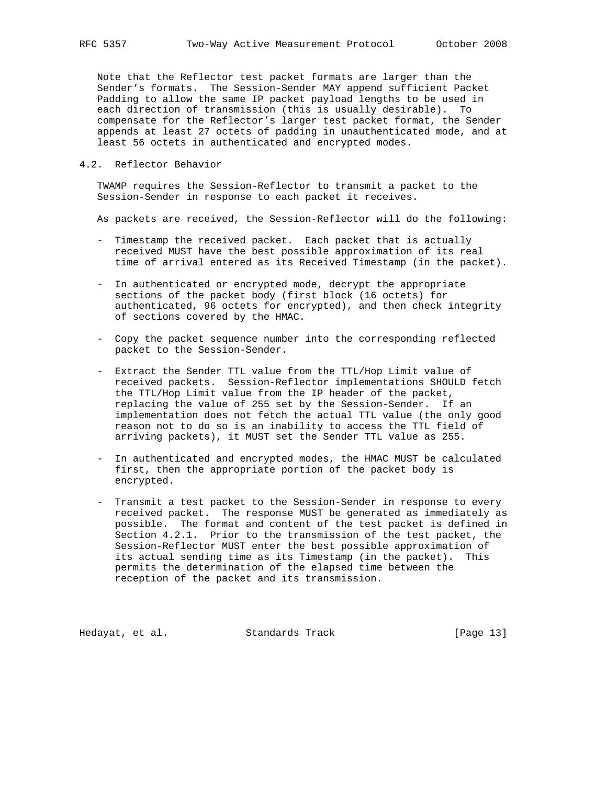Note that the Reflector test packet formats are larger than the Sender's formats. The Session-Sender MAY append sufficient Packet Padding to allow the same IP packet payload lengths to be used in each direction of transmission (this is usually desirable). To compensate for the Reflector's larger test packet format, the Sender appends at least 27 octets of padding in unauthenticated mode, and at least 56 octets in authenticated and encrypted modes.

### 4.2. Reflector Behavior

 TWAMP requires the Session-Reflector to transmit a packet to the Session-Sender in response to each packet it receives.

As packets are received, the Session-Reflector will do the following:

- Timestamp the received packet. Each packet that is actually received MUST have the best possible approximation of its real time of arrival entered as its Received Timestamp (in the packet).
- In authenticated or encrypted mode, decrypt the appropriate sections of the packet body (first block (16 octets) for authenticated, 96 octets for encrypted), and then check integrity of sections covered by the HMAC.
- Copy the packet sequence number into the corresponding reflected packet to the Session-Sender.
- Extract the Sender TTL value from the TTL/Hop Limit value of received packets. Session-Reflector implementations SHOULD fetch the TTL/Hop Limit value from the IP header of the packet, replacing the value of 255 set by the Session-Sender. If an implementation does not fetch the actual TTL value (the only good reason not to do so is an inability to access the TTL field of arriving packets), it MUST set the Sender TTL value as 255.
- In authenticated and encrypted modes, the HMAC MUST be calculated first, then the appropriate portion of the packet body is encrypted.
- Transmit a test packet to the Session-Sender in response to every received packet. The response MUST be generated as immediately as possible. The format and content of the test packet is defined in Section 4.2.1. Prior to the transmission of the test packet, the Session-Reflector MUST enter the best possible approximation of its actual sending time as its Timestamp (in the packet). This permits the determination of the elapsed time between the reception of the packet and its transmission.

Hedayat, et al. Standards Track [Page 13]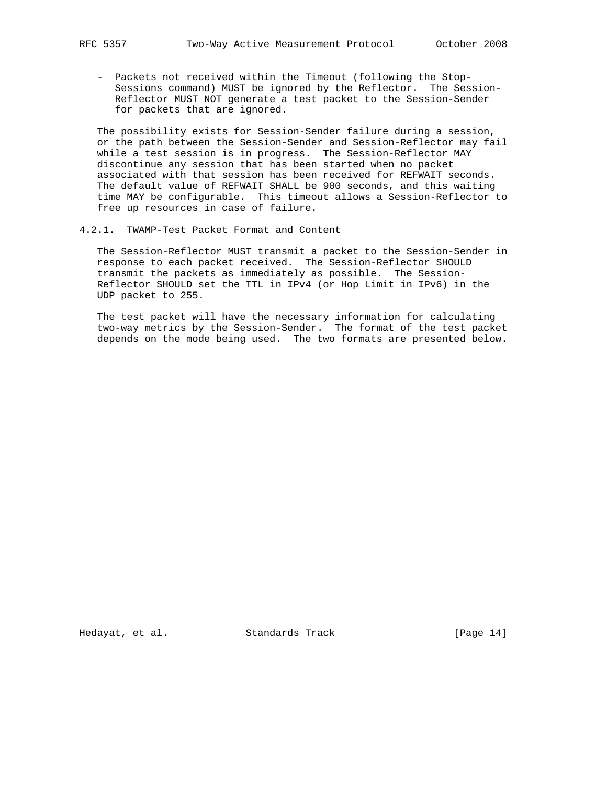- Packets not received within the Timeout (following the Stop- Sessions command) MUST be ignored by the Reflector. The Session- Reflector MUST NOT generate a test packet to the Session-Sender for packets that are ignored.

 The possibility exists for Session-Sender failure during a session, or the path between the Session-Sender and Session-Reflector may fail while a test session is in progress. The Session-Reflector MAY discontinue any session that has been started when no packet associated with that session has been received for REFWAIT seconds. The default value of REFWAIT SHALL be 900 seconds, and this waiting time MAY be configurable. This timeout allows a Session-Reflector to free up resources in case of failure.

4.2.1. TWAMP-Test Packet Format and Content

 The Session-Reflector MUST transmit a packet to the Session-Sender in response to each packet received. The Session-Reflector SHOULD transmit the packets as immediately as possible. The Session- Reflector SHOULD set the TTL in IPv4 (or Hop Limit in IPv6) in the UDP packet to 255.

 The test packet will have the necessary information for calculating two-way metrics by the Session-Sender. The format of the test packet depends on the mode being used. The two formats are presented below.

Hedayat, et al. Standards Track [Page 14]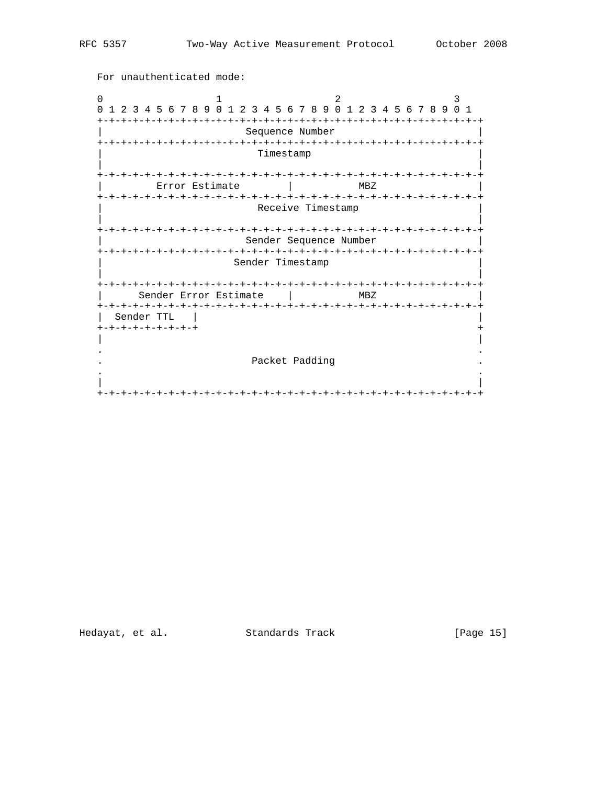For unauthenticated mode:  $1$  $\overline{\phantom{a}}$  $\Omega$  $\overline{3}$ 0 1 2 3 4 5 6 7 8 9 0 1 2 3 4 5 6 7 8 9 0 1 2 3 4 5 6 7 8 9 0 1 Sequence Number Timestamp Error Estimate |  $MBZ$ Receive Timestamp Sender Sequence Number Sender Timestamp | Sender Error Estimate | MBZ Sender TTL |  $+ - + - + - + - + - + - + - +$ Packet Padding  $\ddot{\phantom{a}}$  $\ddot{\phantom{a}}$ 

Hedayat, et al. Standards Track

[Page 15]

 $\ddot{}$  $\overline{\phantom{a}}$  $\ddot{\phantom{a}}$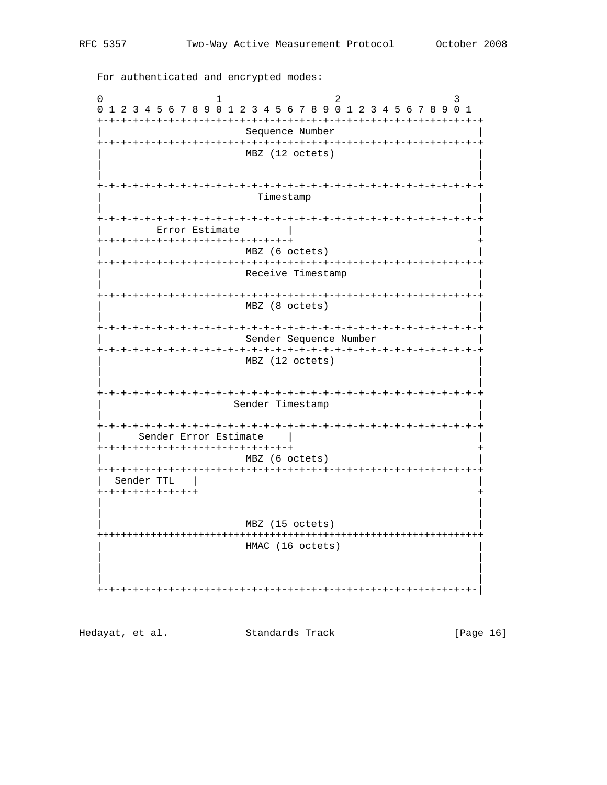$\Omega$ 2  $\mathbf{1}$  $\mathcal{L}$ 0 1 2 3 4 5 6 7 8 9 0 1 2 3 4 5 6 7 8 9 0 1 2 3 4 5 6 7 8 9 0 1 Sequence Number MBZ (12 octets) Timestamp Error Estimate  $\mathcal{L}$ +-+-+-+-+-+-+-+-+-+-+-+-+-+-+-+-+ MBZ (6 octets) Receive Timestamp MBZ (8 octets) Sender Sequence Number MBZ (12 octets) Sender Timestamp Sender Error Estimate | +-+-+-+-+-+-+-+-+-+-+-+-+-+-+-+-+ MBZ (6 octets) Sender TTL | +-+-+-+-+-+-+-+-+ MBZ (15 octets) HMAC (16 octets)

Hedayat, et al. Standards Track [Page 16]

For authenticated and encrypted modes: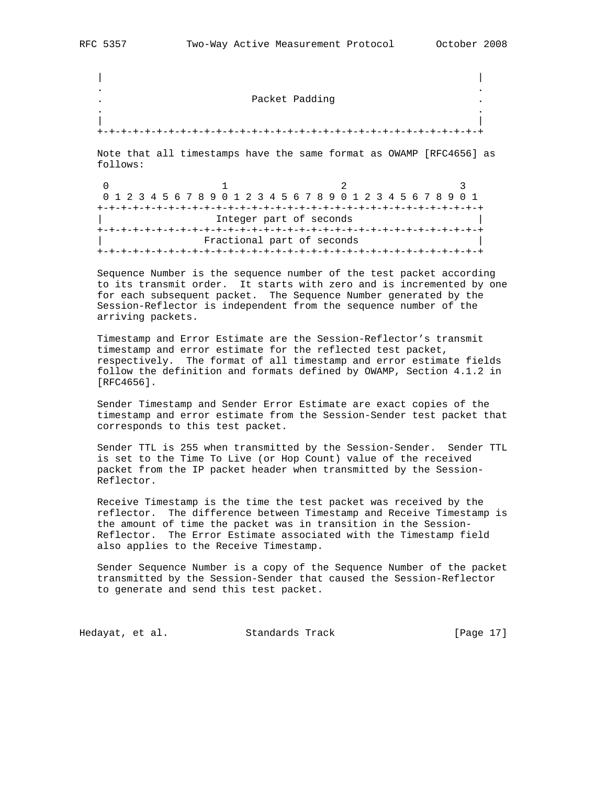| | . .

. .

Packet Padding

 | | +-+-+-+-+-+-+-+-+-+-+-+-+-+-+-+-+-+-+-+-+-+-+-+-+-+-+-+-+-+-+-+-+

 Note that all timestamps have the same format as OWAMP [RFC4656] as follows:

0  $1$  2 3 0 1 2 3 4 5 6 7 8 9 0 1 2 3 4 5 6 7 8 9 0 1 2 3 4 5 6 7 8 9 0 1 +-+-+-+-+-+-+-+-+-+-+-+-+-+-+-+-+-+-+-+-+-+-+-+-+-+-+-+-+-+-+-+-+ Integer part of seconds +-+-+-+-+-+-+-+-+-+-+-+-+-+-+-+-+-+-+-+-+-+-+-+-+-+-+-+-+-+-+-+-+ Fractional part of seconds +-+-+-+-+-+-+-+-+-+-+-+-+-+-+-+-+-+-+-+-+-+-+-+-+-+-+-+-+-+-+-+-+

 Sequence Number is the sequence number of the test packet according to its transmit order. It starts with zero and is incremented by one for each subsequent packet. The Sequence Number generated by the Session-Reflector is independent from the sequence number of the arriving packets.

 Timestamp and Error Estimate are the Session-Reflector's transmit timestamp and error estimate for the reflected test packet, respectively. The format of all timestamp and error estimate fields follow the definition and formats defined by OWAMP, Section 4.1.2 in [RFC4656].

 Sender Timestamp and Sender Error Estimate are exact copies of the timestamp and error estimate from the Session-Sender test packet that corresponds to this test packet.

 Sender TTL is 255 when transmitted by the Session-Sender. Sender TTL is set to the Time To Live (or Hop Count) value of the received packet from the IP packet header when transmitted by the Session- Reflector.

 Receive Timestamp is the time the test packet was received by the reflector. The difference between Timestamp and Receive Timestamp is the amount of time the packet was in transition in the Session- Reflector. The Error Estimate associated with the Timestamp field also applies to the Receive Timestamp.

 Sender Sequence Number is a copy of the Sequence Number of the packet transmitted by the Session-Sender that caused the Session-Reflector to generate and send this test packet.

Hedayat, et al. Standards Track [Page 17]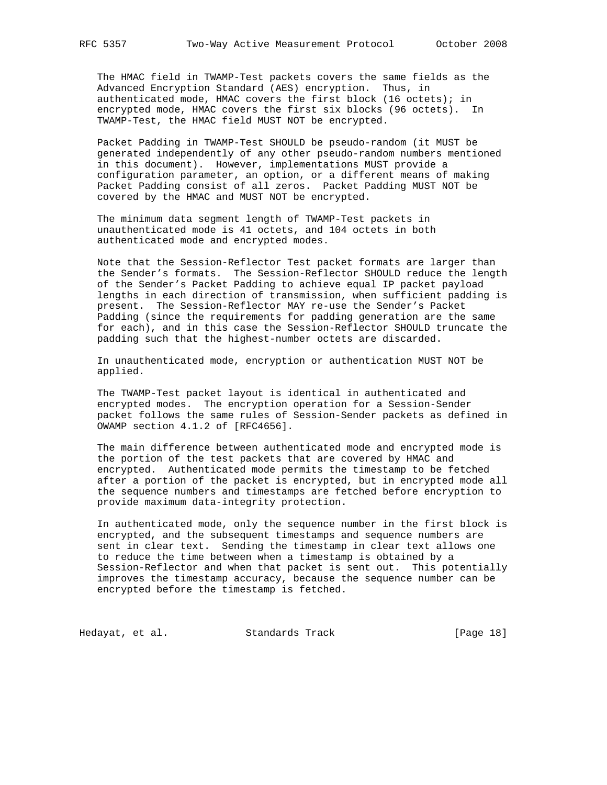The HMAC field in TWAMP-Test packets covers the same fields as the Advanced Encryption Standard (AES) encryption. Thus, in authenticated mode, HMAC covers the first block (16 octets); in encrypted mode, HMAC covers the first six blocks (96 octets). In TWAMP-Test, the HMAC field MUST NOT be encrypted.

 Packet Padding in TWAMP-Test SHOULD be pseudo-random (it MUST be generated independently of any other pseudo-random numbers mentioned in this document). However, implementations MUST provide a configuration parameter, an option, or a different means of making Packet Padding consist of all zeros. Packet Padding MUST NOT be covered by the HMAC and MUST NOT be encrypted.

 The minimum data segment length of TWAMP-Test packets in unauthenticated mode is 41 octets, and 104 octets in both authenticated mode and encrypted modes.

 Note that the Session-Reflector Test packet formats are larger than the Sender's formats. The Session-Reflector SHOULD reduce the length of the Sender's Packet Padding to achieve equal IP packet payload lengths in each direction of transmission, when sufficient padding is present. The Session-Reflector MAY re-use the Sender's Packet Padding (since the requirements for padding generation are the same for each), and in this case the Session-Reflector SHOULD truncate the padding such that the highest-number octets are discarded.

 In unauthenticated mode, encryption or authentication MUST NOT be applied.

 The TWAMP-Test packet layout is identical in authenticated and encrypted modes. The encryption operation for a Session-Sender packet follows the same rules of Session-Sender packets as defined in OWAMP section 4.1.2 of [RFC4656].

 The main difference between authenticated mode and encrypted mode is the portion of the test packets that are covered by HMAC and encrypted. Authenticated mode permits the timestamp to be fetched after a portion of the packet is encrypted, but in encrypted mode all the sequence numbers and timestamps are fetched before encryption to provide maximum data-integrity protection.

 In authenticated mode, only the sequence number in the first block is encrypted, and the subsequent timestamps and sequence numbers are sent in clear text. Sending the timestamp in clear text allows one to reduce the time between when a timestamp is obtained by a Session-Reflector and when that packet is sent out. This potentially improves the timestamp accuracy, because the sequence number can be encrypted before the timestamp is fetched.

Hedayat, et al. Standards Track [Page 18]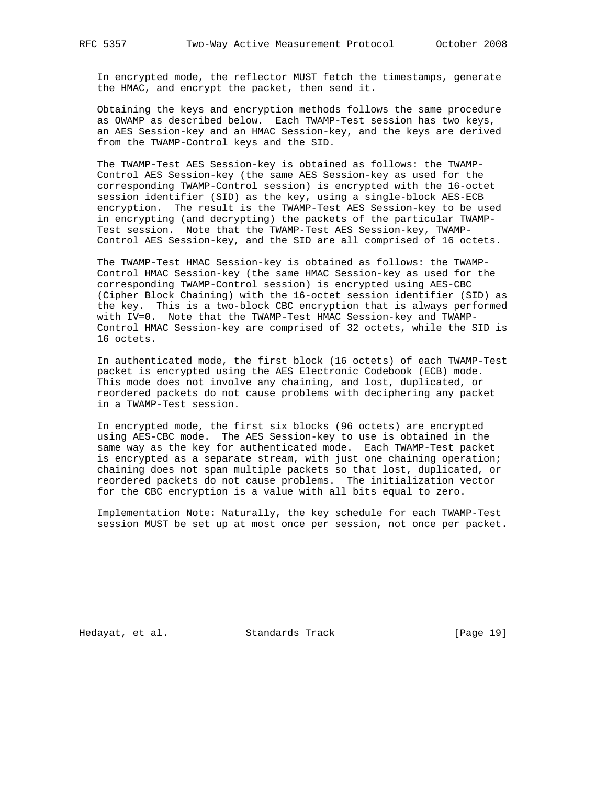In encrypted mode, the reflector MUST fetch the timestamps, generate the HMAC, and encrypt the packet, then send it.

 Obtaining the keys and encryption methods follows the same procedure as OWAMP as described below. Each TWAMP-Test session has two keys, an AES Session-key and an HMAC Session-key, and the keys are derived from the TWAMP-Control keys and the SID.

 The TWAMP-Test AES Session-key is obtained as follows: the TWAMP- Control AES Session-key (the same AES Session-key as used for the corresponding TWAMP-Control session) is encrypted with the 16-octet session identifier (SID) as the key, using a single-block AES-ECB encryption. The result is the TWAMP-Test AES Session-key to be used in encrypting (and decrypting) the packets of the particular TWAMP- Test session. Note that the TWAMP-Test AES Session-key, TWAMP- Control AES Session-key, and the SID are all comprised of 16 octets.

 The TWAMP-Test HMAC Session-key is obtained as follows: the TWAMP- Control HMAC Session-key (the same HMAC Session-key as used for the corresponding TWAMP-Control session) is encrypted using AES-CBC (Cipher Block Chaining) with the 16-octet session identifier (SID) as the key. This is a two-block CBC encryption that is always performed with IV=0. Note that the TWAMP-Test HMAC Session-key and TWAMP- Control HMAC Session-key are comprised of 32 octets, while the SID is 16 octets.

 In authenticated mode, the first block (16 octets) of each TWAMP-Test packet is encrypted using the AES Electronic Codebook (ECB) mode. This mode does not involve any chaining, and lost, duplicated, or reordered packets do not cause problems with deciphering any packet in a TWAMP-Test session.

 In encrypted mode, the first six blocks (96 octets) are encrypted using AES-CBC mode. The AES Session-key to use is obtained in the same way as the key for authenticated mode. Each TWAMP-Test packet is encrypted as a separate stream, with just one chaining operation; chaining does not span multiple packets so that lost, duplicated, or reordered packets do not cause problems. The initialization vector for the CBC encryption is a value with all bits equal to zero.

 Implementation Note: Naturally, the key schedule for each TWAMP-Test session MUST be set up at most once per session, not once per packet.

Hedayat, et al. Standards Track [Page 19]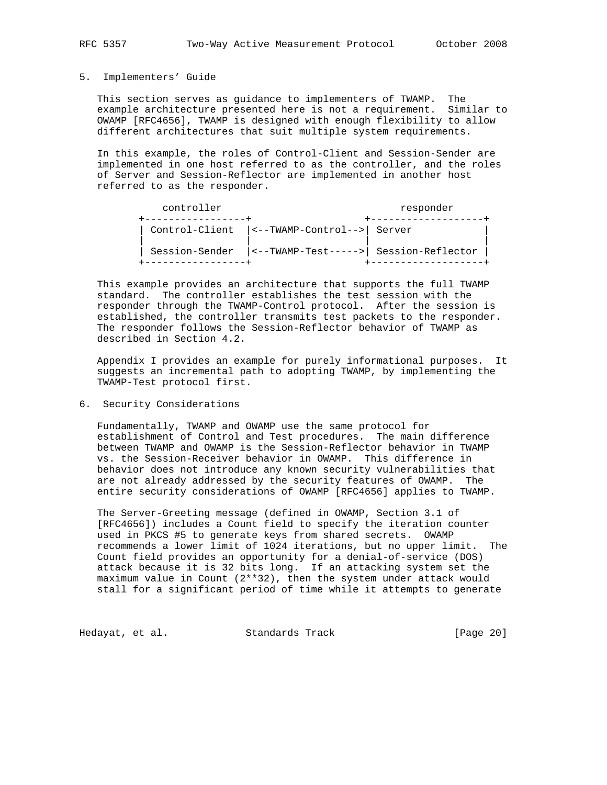#### 5. Implementers' Guide

 This section serves as guidance to implementers of TWAMP. The example architecture presented here is not a requirement. Similar to OWAMP [RFC4656], TWAMP is designed with enough flexibility to allow different architectures that suit multiple system requirements.

 In this example, the roles of Control-Client and Session-Sender are implemented in one host referred to as the controller, and the roles of Server and Session-Reflector are implemented in another host referred to as the responder.

| controller | responder                                   |                                                                              |
|------------|---------------------------------------------|------------------------------------------------------------------------------|
|            | Control-Client  <--TWAMP-Control-->  Server |                                                                              |
|            |                                             | Session-Sender $\vert$ <--TWAMP-Test-----> $\vert$ Session-Reflector $\vert$ |

 This example provides an architecture that supports the full TWAMP standard. The controller establishes the test session with the responder through the TWAMP-Control protocol. After the session is established, the controller transmits test packets to the responder. The responder follows the Session-Reflector behavior of TWAMP as described in Section 4.2.

 Appendix I provides an example for purely informational purposes. It suggests an incremental path to adopting TWAMP, by implementing the TWAMP-Test protocol first.

### 6. Security Considerations

 Fundamentally, TWAMP and OWAMP use the same protocol for establishment of Control and Test procedures. The main difference between TWAMP and OWAMP is the Session-Reflector behavior in TWAMP vs. the Session-Receiver behavior in OWAMP. This difference in behavior does not introduce any known security vulnerabilities that are not already addressed by the security features of OWAMP. The entire security considerations of OWAMP [RFC4656] applies to TWAMP.

 The Server-Greeting message (defined in OWAMP, Section 3.1 of [RFC4656]) includes a Count field to specify the iteration counter used in PKCS #5 to generate keys from shared secrets. OWAMP recommends a lower limit of 1024 iterations, but no upper limit. The Count field provides an opportunity for a denial-of-service (DOS) attack because it is 32 bits long. If an attacking system set the maximum value in Count (2\*\*32), then the system under attack would stall for a significant period of time while it attempts to generate

Hedayat, et al. Standards Track [Page 20]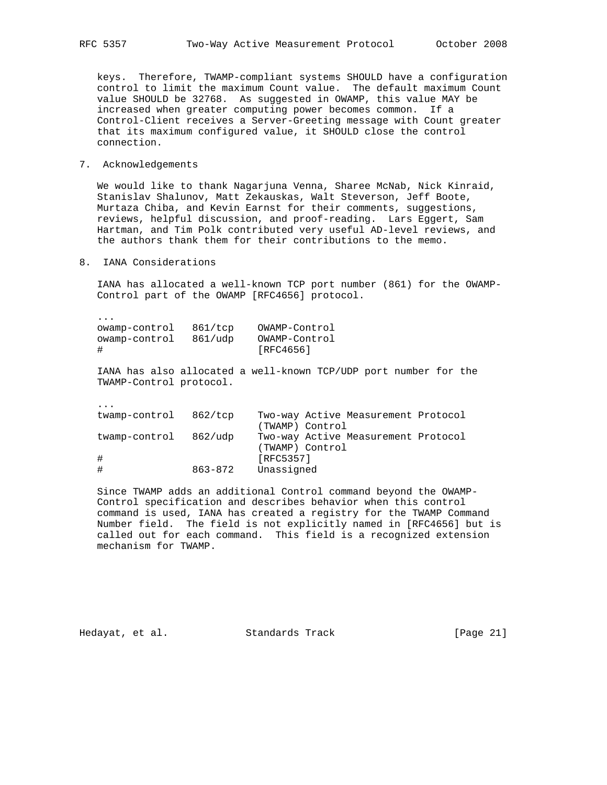keys. Therefore, TWAMP-compliant systems SHOULD have a configuration control to limit the maximum Count value. The default maximum Count value SHOULD be 32768. As suggested in OWAMP, this value MAY be increased when greater computing power becomes common. If a Control-Client receives a Server-Greeting message with Count greater that its maximum configured value, it SHOULD close the control connection.

# 7. Acknowledgements

 We would like to thank Nagarjuna Venna, Sharee McNab, Nick Kinraid, Stanislav Shalunov, Matt Zekauskas, Walt Steverson, Jeff Boote, Murtaza Chiba, and Kevin Earnst for their comments, suggestions, reviews, helpful discussion, and proof-reading. Lars Eggert, Sam Hartman, and Tim Polk contributed very useful AD-level reviews, and the authors thank them for their contributions to the memo.

8. IANA Considerations

 IANA has allocated a well-known TCP port number (861) for the OWAMP- Control part of the OWAMP [RFC4656] protocol.

| owamp-control | 861/top | OWAMP-Control |
|---------------|---------|---------------|
| owamp-control | 861/udp | OWAMP-Control |
| #             |         | [RFC4656]     |

 IANA has also allocated a well-known TCP/UDP port number for the TWAMP-Control protocol.

...

...

| twamp-control 862/tcp |         | Two-way Active Measurement Protocol |
|-----------------------|---------|-------------------------------------|
|                       |         | (TWAMP) Control                     |
| twamp-control 862/udp |         | Two-way Active Measurement Protocol |
|                       |         | (TWAMP) Control                     |
| #                     |         | [RFC5357]                           |
|                       | 863-872 | Unassigned                          |
|                       |         |                                     |

 Since TWAMP adds an additional Control command beyond the OWAMP- Control specification and describes behavior when this control command is used, IANA has created a registry for the TWAMP Command Number field. The field is not explicitly named in [RFC4656] but is called out for each command. This field is a recognized extension mechanism for TWAMP.

Hedayat, et al. Standards Track [Page 21]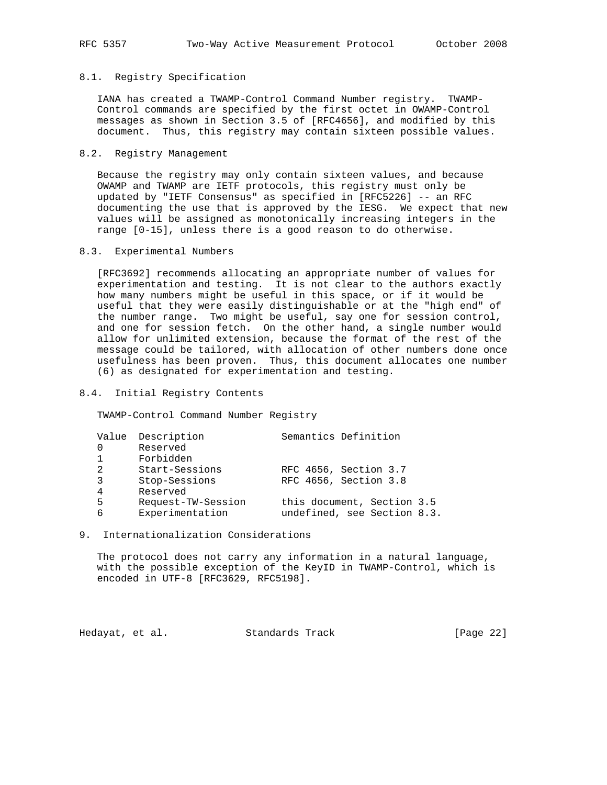# 8.1. Registry Specification

 IANA has created a TWAMP-Control Command Number registry. TWAMP- Control commands are specified by the first octet in OWAMP-Control messages as shown in Section 3.5 of [RFC4656], and modified by this document. Thus, this registry may contain sixteen possible values.

### 8.2. Registry Management

 Because the registry may only contain sixteen values, and because OWAMP and TWAMP are IETF protocols, this registry must only be updated by "IETF Consensus" as specified in [RFC5226] -- an RFC documenting the use that is approved by the IESG. We expect that new values will be assigned as monotonically increasing integers in the range [0-15], unless there is a good reason to do otherwise.

### 8.3. Experimental Numbers

 [RFC3692] recommends allocating an appropriate number of values for experimentation and testing. It is not clear to the authors exactly how many numbers might be useful in this space, or if it would be useful that they were easily distinguishable or at the "high end" of the number range. Two might be useful, say one for session control, and one for session fetch. On the other hand, a single number would allow for unlimited extension, because the format of the rest of the message could be tailored, with allocation of other numbers done once usefulness has been proven. Thus, this document allocates one number (6) as designated for experimentation and testing.

# 8.4. Initial Registry Contents

TWAMP-Control Command Number Registry

|   | Value Description  | Semantics Definition        |
|---|--------------------|-----------------------------|
|   | Reserved           |                             |
|   | Forbidden          |                             |
| 2 | Start-Sessions     | RFC 4656, Section 3.7       |
| 3 | Stop-Sessions      | RFC 4656, Section 3.8       |
| 4 | Reserved           |                             |
| 5 | Request-TW-Session | this document, Section 3.5  |
| 6 | Experimentation    | undefined, see Section 8.3. |
|   |                    |                             |

### 9. Internationalization Considerations

 The protocol does not carry any information in a natural language, with the possible exception of the KeyID in TWAMP-Control, which is encoded in UTF-8 [RFC3629, RFC5198].

Hedayat, et al. Standards Track [Page 22]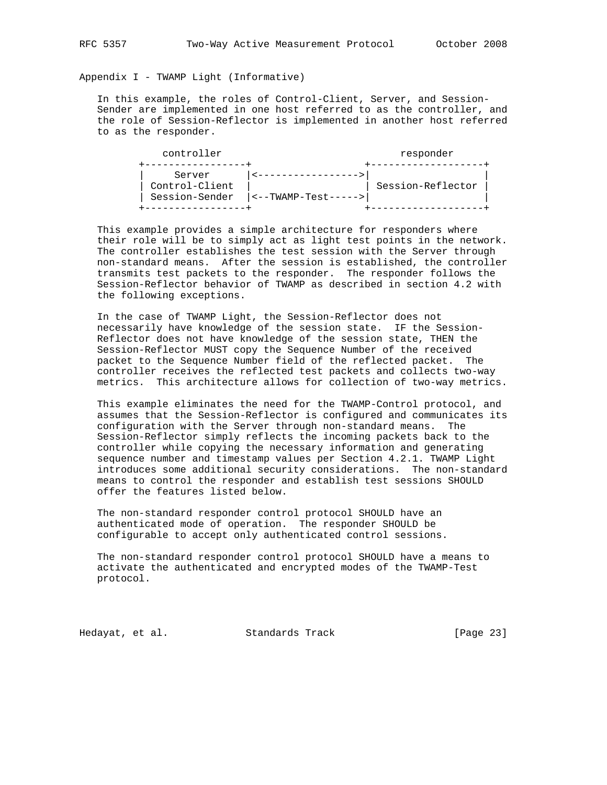Appendix I - TWAMP Light (Informative)

 In this example, the roles of Control-Client, Server, and Session- Sender are implemented in one host referred to as the controller, and the role of Session-Reflector is implemented in another host referred to as the responder.

| controller                                 |                         | responder         |
|--------------------------------------------|-------------------------|-------------------|
| Server<br>Control-Client<br>Session-Sender | $ $ <--TWAMP-Test-----> | Session-Reflector |
|                                            |                         |                   |

 This example provides a simple architecture for responders where their role will be to simply act as light test points in the network. The controller establishes the test session with the Server through non-standard means. After the session is established, the controller transmits test packets to the responder. The responder follows the Session-Reflector behavior of TWAMP as described in section 4.2 with the following exceptions.

 In the case of TWAMP Light, the Session-Reflector does not necessarily have knowledge of the session state. IF the Session- Reflector does not have knowledge of the session state, THEN the Session-Reflector MUST copy the Sequence Number of the received packet to the Sequence Number field of the reflected packet. The controller receives the reflected test packets and collects two-way metrics. This architecture allows for collection of two-way metrics.

 This example eliminates the need for the TWAMP-Control protocol, and assumes that the Session-Reflector is configured and communicates its configuration with the Server through non-standard means. The Session-Reflector simply reflects the incoming packets back to the controller while copying the necessary information and generating sequence number and timestamp values per Section 4.2.1. TWAMP Light introduces some additional security considerations. The non-standard means to control the responder and establish test sessions SHOULD offer the features listed below.

 The non-standard responder control protocol SHOULD have an authenticated mode of operation. The responder SHOULD be configurable to accept only authenticated control sessions.

 The non-standard responder control protocol SHOULD have a means to activate the authenticated and encrypted modes of the TWAMP-Test protocol.

Hedayat, et al. Standards Track [Page 23]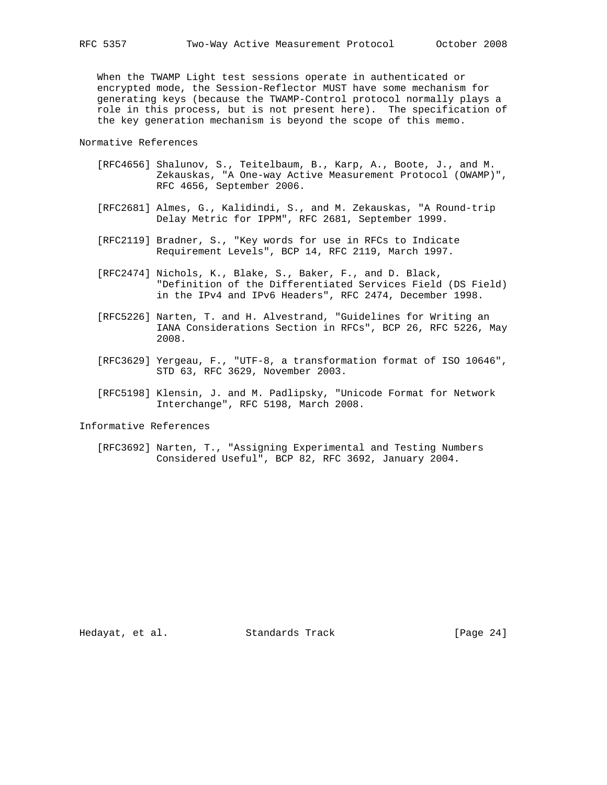When the TWAMP Light test sessions operate in authenticated or encrypted mode, the Session-Reflector MUST have some mechanism for generating keys (because the TWAMP-Control protocol normally plays a role in this process, but is not present here). The specification of the key generation mechanism is beyond the scope of this memo.

Normative References

- [RFC4656] Shalunov, S., Teitelbaum, B., Karp, A., Boote, J., and M. Zekauskas, "A One-way Active Measurement Protocol (OWAMP)", RFC 4656, September 2006.
- [RFC2681] Almes, G., Kalidindi, S., and M. Zekauskas, "A Round-trip Delay Metric for IPPM", RFC 2681, September 1999.
- [RFC2119] Bradner, S., "Key words for use in RFCs to Indicate Requirement Levels", BCP 14, RFC 2119, March 1997.
- [RFC2474] Nichols, K., Blake, S., Baker, F., and D. Black, "Definition of the Differentiated Services Field (DS Field) in the IPv4 and IPv6 Headers", RFC 2474, December 1998.
- [RFC5226] Narten, T. and H. Alvestrand, "Guidelines for Writing an IANA Considerations Section in RFCs", BCP 26, RFC 5226, May 2008.
- [RFC3629] Yergeau, F., "UTF-8, a transformation format of ISO 10646", STD 63, RFC 3629, November 2003.
- [RFC5198] Klensin, J. and M. Padlipsky, "Unicode Format for Network Interchange", RFC 5198, March 2008.

Informative References

 [RFC3692] Narten, T., "Assigning Experimental and Testing Numbers Considered Useful", BCP 82, RFC 3692, January 2004.

Hedayat, et al. Standards Track [Page 24]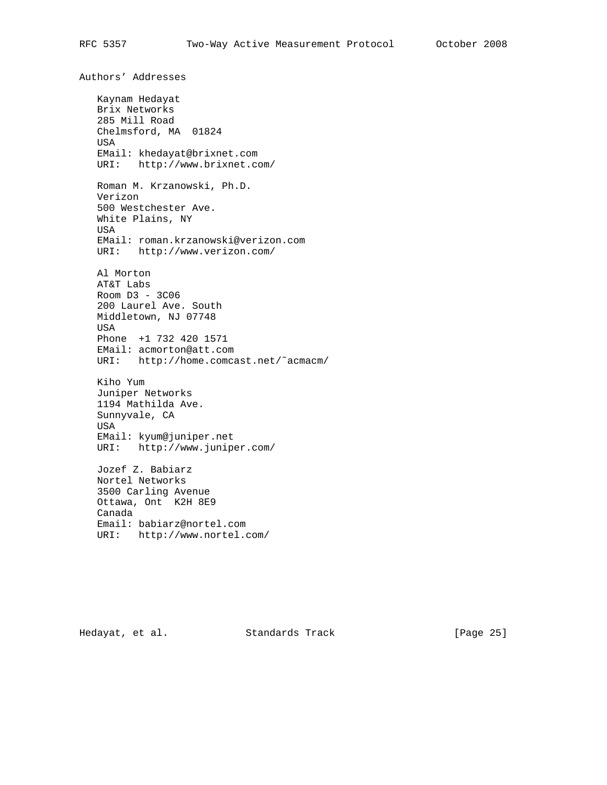Authors' Addresses Kaynam Hedayat Brix Networks 285 Mill Road Chelmsford, MA 01824 USA EMail: khedayat@brixnet.com URI: http://www.brixnet.com/ Roman M. Krzanowski, Ph.D. Verizon 500 Westchester Ave. White Plains, NY USA EMail: roman.krzanowski@verizon.com URI: http://www.verizon.com/ Al Morton AT&T Labs Room D3 - 3C06 200 Laurel Ave. South Middletown, NJ 07748 USA Phone +1 732 420 1571 EMail: acmorton@att.com URI: http://home.comcast.net/˜acmacm/ Kiho Yum Juniper Networks 1194 Mathilda Ave. Sunnyvale, CA USA EMail: kyum@juniper.net URI: http://www.juniper.com/ Jozef Z. Babiarz Nortel Networks 3500 Carling Avenue Ottawa, Ont K2H 8E9 Canada Email: babiarz@nortel.com URI: http://www.nortel.com/

Hedayat, et al. Standards Track [Page 25]